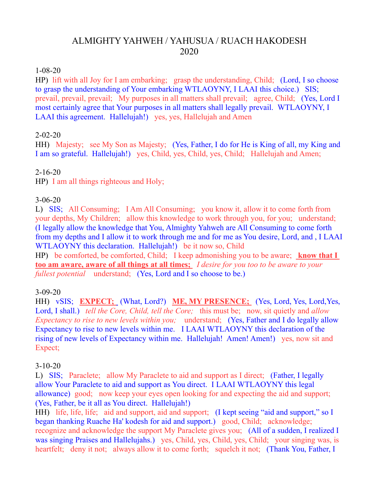# ALMIGHTY YAHWEH / YAHUSUA / RUACH HAKODESH 2020

#### 1-08-20

HP) lift with all Joy for I am embarking; grasp the understanding, Child; (Lord, I so choose to grasp the understanding of Your embarking WTLAOYNY, I LAAI this choice.) SIS; prevail, prevail, prevail; My purposes in all matters shall prevail; agree, Child; (Yes, Lord I most certainly agree that Your purposes in all matters shall legally prevail. WTLAOYNY, I LAAI this agreement. Hallelujah!) yes, yes, Hallelujah and Amen

#### 2-02-20

HH) Majesty; see My Son as Majesty; (Yes, Father, I do for He is King of all, my King and I am so grateful. Hallelujah!) yes, Child, yes, Child, yes, Child; Hallelujah and Amen;

#### 2-16-20

HP) I am all things righteous and Holy;

### 3-06-20

L) SIS; All Consuming; I Am All Consuming; you know it, allow it to come forth from your depths, My Children; allow this knowledge to work through you, for you; understand; (I legally allow the knowledge that You, Almighty Yahweh are All Consuming to come forth from my depths and I allow it to work through me and for me as You desire, Lord, and , I LAAI WTLAOYNY this declaration. Hallelujah!) be it now so, Child

HP) be comforted, be comforted, Child; I keep admonishing you to be aware; **know that I too am aware, aware of all things at all times;** *I desire for you too to be aware to your fullest potential* understand; (Yes, Lord and I so choose to be.)

#### 3-09-20

HH) vSIS; **EXPECT;** (What, Lord?) **ME, MY PRESENCE;** (Yes, Lord, Yes, Lord,Yes, Lord, I shall.) *tell the Core, Child, tell the Core;* this must be; now, sit quietly and *allow Expectancy to rise to new levels within you;* understand; (Yes, Father and I do legally allow Expectancy to rise to new levels within me. I LAAI WTLAOYNY this declaration of the rising of new levels of Expectancy within me. Hallelujah! Amen! Amen!) yes, now sit and Expect;

#### 3-10-20

L) SIS; Paraclete; allow My Paraclete to aid and support as I direct; (Father, I legally allow Your Paraclete to aid and support as You direct. I LAAI WTLAOYNY this legal allowance) good; now keep your eyes open looking for and expecting the aid and support; (Yes, Father, be it all as You direct. Hallelujah!)

HH) life, life, life; aid and support, aid and support; (I kept seeing "aid and support," so I began thanking Ruache Ha' kodesh for aid and support.) good, Child; acknowledge; recognize and acknowledge the support My Paraclete gives you; (All of a sudden, I realized I was singing Praises and Hallelujahs.) yes, Child, yes, Child, yes, Child; your singing was, is heartfelt; deny it not; always allow it to come forth; squelch it not; (Thank You, Father, I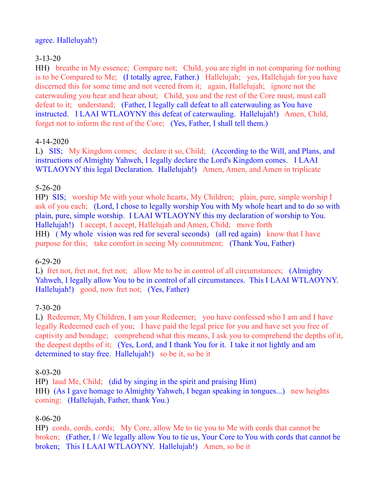#### agree. Halleluyah!)

## 3-13-20

HH) breathe in My essence; Compare not; Child, you are right in not comparing for nothing is to be Compared to Me; (I totally agree, Father.) Hallelujah; yes, Hallelujah for you have discerned this for some time and not veered from it; again, Hallelujah; ignore not the caterwauling you hear and hear about; Child, you and the rest of the Core must, must call defeat to it; understand; (Father, I legally call defeat to all caterwauling as You have instructed. I LAAI WTLAOYNY this defeat of caterwauling. Hallelujah!) Amen, Child, forget not to inform the rest of the Core; (Yes, Father, I shall tell them.)

### 4-14-2020

L) SIS; My Kingdom comes; declare it so, Child; (According to the Will, and Plans, and instructions of Almighty Yahweh, I legally declare the Lord's Kingdom comes. I LAAI WTLAOYNY this legal Declaration. Hallelujah!) Amen, Amen, and Amen in triplicate

## 5-26-20

HP) SIS; worship Me with your whole hearts, My Children; plain, pure, simple worship I ask of you each; (Lord, I chose to legally worship You with My whole heart and to do so with plain, pure, simple worship. I LAAI WTLAOYNY this my declaration of worship to You. Hallelujah!) I accept, I accept, Hallelujah and Amen, Child; move forth HH) ( My whole vision was red for several seconds) (all red again) know that I have purpose for this; take comfort in seeing My commitment; (Thank You, Father)

## 6-29-20

L) fret not, fret not, fret not; allow Me to be in control of all circumstances; (Almighty Yahweh, I legally allow You to be in control of all circumstances. This I LAAI WTLAOYNY. Hallelujah!) good, now fret not; (Yes, Father)

## 7-30-20

L) Redeemer, My Children, I am your Redeemer; you have confessed who I am and I have legally Redeemed each of you; I have paid the legal price for you and have set you free of captivity and bondage; comprehend what this means, I ask you to comprehend the depths of it, the deepest depths of it; (Yes, Lord, and I thank You for it. I take it not lightly and am determined to stay free. Hallelujah!) so be it, so be it

#### 8-03-20

HP) laud Me, Child; (did by singing in the spirit and praising Him) HH) (As I gave homage to Almighty Yahweh, I began speaking in tongues...) new heights coming; (Hallelujah, Father, thank You.)

#### 8-06-20

HP) cords, cords, cords; My Core, allow Me to tie you to Me with cords that cannot be broken; (Father, I / We legally allow You to tie us, Your Core to You with cords that cannot be broken; This I LAAI WTLAOYNY. Hallelujah!) Amen, so be it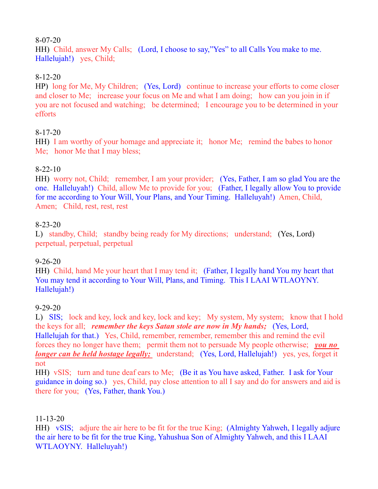### 8-07-20

HH) Child, answer My Calls; (Lord, I choose to say,"Yes" to all Calls You make to me. Hallelujah!) yes, Child;

### 8-12-20

HP) long for Me, My Children; (Yes, Lord) continue to increase your efforts to come closer and closer to Me; increase your focus on Me and what I am doing; how can you join in if you are not focused and watching; be determined; I encourage you to be determined in your efforts

### 8-17-20

HH) I am worthy of your homage and appreciate it; honor Me; remind the babes to honor Me; honor Me that I may bless;

### 8-22-10

HH) worry not, Child; remember, I am your provider; (Yes, Father, I am so glad You are the one. Halleluyah!) Child, allow Me to provide for you; (Father, I legally allow You to provide for me according to Your Will, Your Plans, and Your Timing. Halleluyah!) Amen, Child, Amen; Child, rest, rest, rest

#### 8-23-20

L) standby, Child; standby being ready for My directions; understand; (Yes, Lord) perpetual, perpetual, perpetual

## 9-26-20

HH) Child, hand Me your heart that I may tend it; (Father, I legally hand You my heart that You may tend it according to Your Will, Plans, and Timing. This I LAAI WTLAOYNY. Hallelujah!)

#### 9-29-20

L) SIS; lock and key, lock and key, lock and key; My system, My system; know that I hold the keys for all; *remember the keys Satan stole are now in My hands;* (Yes, Lord, Hallelujah for that.) Yes, Child, remember, remember, remember this and remind the evil forces they no longer have them; permit them not to persuade My people otherwise; *you no longer can be held hostage legally*; understand; (Yes, Lord, Hallelujah!) yes, yes, forget it not

HH) vSIS; turn and tune deaf ears to Me; (Be it as You have asked, Father. I ask for Your guidance in doing so.) yes, Child, pay close attention to all I say and do for answers and aid is there for you; (Yes, Father, thank You.)

#### 11-13-20

HH) vSIS; adjure the air here to be fit for the true King; (Almighty Yahweh, I legally adjure the air here to be fit for the true King, Yahushua Son of Almighty Yahweh, and this I LAAI WTLAOYNY. Halleluyah!)